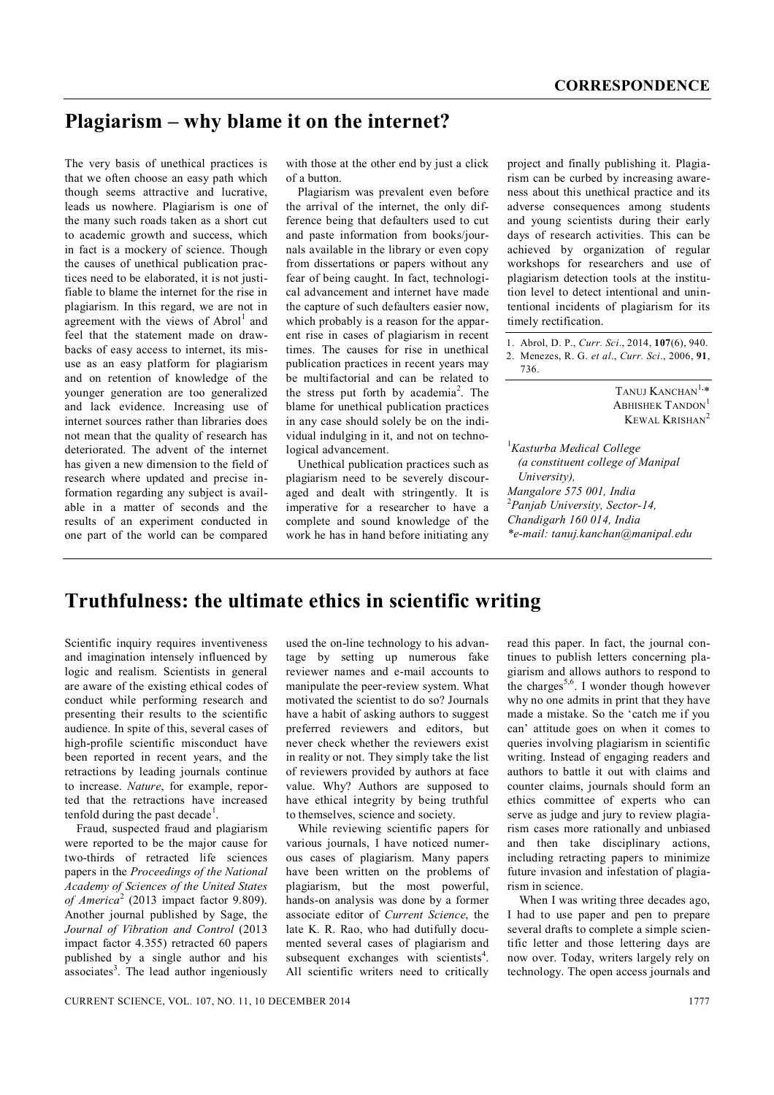## **Plagiarism – why blame it on the internet?**

The very basis of unethical practices is that we often choose an easy path which though seems attractive and lucrative, leads us nowhere. Plagiarism is one of the many such roads taken as a short cut to academic growth and success, which in fact is a mockery of science. Though the causes of unethical publication practices need to be elaborated, it is not justifiable to blame the internet for the rise in plagiarism. In this regard, we are not in agreement with the views of Abrol<sup>1</sup> and feel that the statement made on drawbacks of easy access to internet, its misuse as an easy platform for plagiarism and on retention of knowledge of the younger generation are too generalized and lack evidence. Increasing use of internet sources rather than libraries does not mean that the quality of research has deteriorated. The advent of the internet has given a new dimension to the field of research where updated and precise information regarding any subject is available in a matter of seconds and the results of an experiment conducted in one part of the world can be compared

with those at the other end by just a click of a button.

Plagiarism was prevalent even before the arrival of the internet, the only difference being that defaulters used to cut and paste information from books/journals available in the library or even copy from dissertations or papers without any fear of being caught. In fact, technological advancement and internet have made the capture of such defaulters easier now, which probably is a reason for the apparent rise in cases of plagiarism in recent times. The causes for rise in unethical publication practices in recent years may be multifactorial and can be related to the stress put forth by academia<sup>2</sup>. The blame for unethical publication practices in any case should solely be on the individual indulging in it, and not on technological advancement.

Unethical publication practices such as plagiarism need to be severely discouraged and dealt with stringently. It is imperative for a researcher to have a complete and sound knowledge of the work he has in hand before initiating any project and finally publishing it. Plagiarism can be curbed by increasing awareness about this unethical practice and its adverse consequences among students and young scientists during their early days of research activities. This can be achieved by organization of regular workshops for researchers and use of plagiarism detection tools at the institution level to detect intentional and unintentional incidents of plagiarism for its timely rectification.

1. Abrol, D. P., *Curr. Sci*., 2014, **107**(6), 940. 2. Menezes, R. G. *et al*., *Curr. Sci*., 2006, **91**, 736.

> TANUJ KANCHAN<sup>1,\*</sup> ABHISHEK TANDON<sup>1</sup> KEWAL KRISHAN<sup>2</sup>

<sup>1</sup>*Kasturba Medical College (a constituent college of Manipal University), Mangalore 575 001, India* <sup>2</sup>*Panjab University, Sector-14, Chandigarh 160 014, India \*e-mail: tanuj.kanchan@manipal.edu*

## **Truthfulness: the ultimate ethics in scientific writing**

Scientific inquiry requires inventiveness and imagination intensely influenced by logic and realism. Scientists in general are aware of the existing ethical codes of conduct while performing research and presenting their results to the scientific audience. In spite of this, several cases of high-profile scientific misconduct have been reported in recent years, and the retractions by leading journals continue to increase. *Nature*, for example, reported that the retractions have increased tenfold during the past decade<sup>1</sup>.

Fraud, suspected fraud and plagiarism were reported to be the major cause for two-thirds of retracted life sciences papers in the *Proceedings of the National Academy of Sciences of the United States of America*<sup>2</sup> (2013 impact factor 9.809). Another journal published by Sage, the *Journal of Vibration and Control* (2013 impact factor 4.355) retracted 60 papers published by a single author and his associates<sup>3</sup>. The lead author ingeniously

used the on-line technology to his advantage by setting up numerous fake reviewer names and e-mail accounts to manipulate the peer-review system. What motivated the scientist to do so? Journals have a habit of asking authors to suggest preferred reviewers and editors, but never check whether the reviewers exist in reality or not. They simply take the list of reviewers provided by authors at face value. Why? Authors are supposed to have ethical integrity by being truthful to themselves, science and society.

While reviewing scientific papers for various journals, I have noticed numerous cases of plagiarism. Many papers have been written on the problems of plagiarism, but the most powerful, hands-on analysis was done by a former associate editor of *Current Science*, the late K. R. Rao, who had dutifully documented several cases of plagiarism and subsequent exchanges with scientists<sup>4</sup>. All scientific writers need to critically read this paper. In fact, the journal continues to publish letters concerning plagiarism and allows authors to respond to the charges<sup>5,6</sup>. I wonder though however why no one admits in print that they have made a mistake. So the 'catch me if you can' attitude goes on when it comes to queries involving plagiarism in scientific writing. Instead of engaging readers and authors to battle it out with claims and counter claims, journals should form an ethics committee of experts who can serve as judge and jury to review plagiarism cases more rationally and unbiased and then take disciplinary actions, including retracting papers to minimize future invasion and infestation of plagiarism in science.

When I was writing three decades ago, I had to use paper and pen to prepare several drafts to complete a simple scientific letter and those lettering days are now over. Today, writers largely rely on technology. The open access journals and